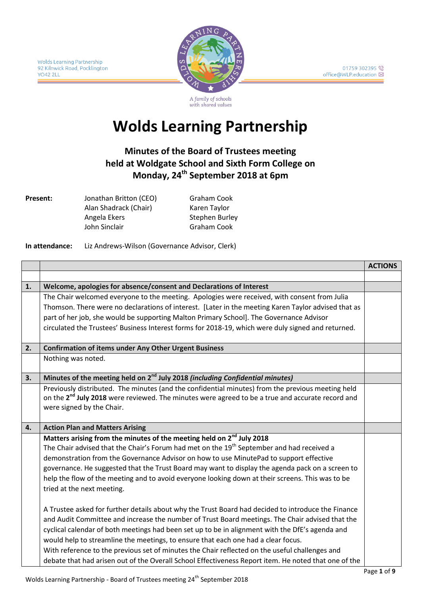

A family of schools with shared values

# **Wolds Learning Partnership**

## **Minutes of the Board of Trustees meeting held at Woldgate School and Sixth Form College on Monday, 24th September 2018 at 6pm**

**Present:** Jonathan Britton (CEO) Alan Shadrack (Chair) Angela Ekers John Sinclair

Graham Cook Karen Taylor Stephen Burley Graham Cook

#### **In attendance:** Liz Andrews-Wilson (Governance Advisor, Clerk)

|    |                                                                                                              | <b>ACTIONS</b> |  |
|----|--------------------------------------------------------------------------------------------------------------|----------------|--|
|    |                                                                                                              |                |  |
| 1. | Welcome, apologies for absence/consent and Declarations of Interest                                          |                |  |
|    | The Chair welcomed everyone to the meeting. Apologies were received, with consent from Julia                 |                |  |
|    | Thomson. There were no declarations of interest. [Later in the meeting Karen Taylor advised that as          |                |  |
|    | part of her job, she would be supporting Malton Primary School]. The Governance Advisor                      |                |  |
|    | circulated the Trustees' Business Interest forms for 2018-19, which were duly signed and returned.           |                |  |
|    |                                                                                                              |                |  |
| 2. | <b>Confirmation of items under Any Other Urgent Business</b>                                                 |                |  |
|    | Nothing was noted.                                                                                           |                |  |
|    |                                                                                                              |                |  |
| 3. | Minutes of the meeting held on 2 <sup>nd</sup> July 2018 (including Confidential minutes)                    |                |  |
|    | Previously distributed. The minutes (and the confidential minutes) from the previous meeting held            |                |  |
|    | on the 2 <sup>nd</sup> July 2018 were reviewed. The minutes were agreed to be a true and accurate record and |                |  |
|    | were signed by the Chair.                                                                                    |                |  |
|    |                                                                                                              |                |  |
| 4. | <b>Action Plan and Matters Arising</b>                                                                       |                |  |
|    | Matters arising from the minutes of the meeting held on 2 <sup>nd</sup> July 2018                            |                |  |
|    | The Chair advised that the Chair's Forum had met on the 19 <sup>th</sup> September and had received a        |                |  |
|    | demonstration from the Governance Advisor on how to use MinutePad to support effective                       |                |  |
|    | governance. He suggested that the Trust Board may want to display the agenda pack on a screen to             |                |  |
|    | help the flow of the meeting and to avoid everyone looking down at their screens. This was to be             |                |  |
|    | tried at the next meeting.                                                                                   |                |  |
|    |                                                                                                              |                |  |
|    | A Trustee asked for further details about why the Trust Board had decided to introduce the Finance           |                |  |
|    | and Audit Committee and increase the number of Trust Board meetings. The Chair advised that the              |                |  |
|    | cyclical calendar of both meetings had been set up to be in alignment with the DfE's agenda and              |                |  |
|    | would help to streamline the meetings, to ensure that each one had a clear focus.                            |                |  |
|    | With reference to the previous set of minutes the Chair reflected on the useful challenges and               |                |  |
|    | debate that had arisen out of the Overall School Effectiveness Report item. He noted that one of the         |                |  |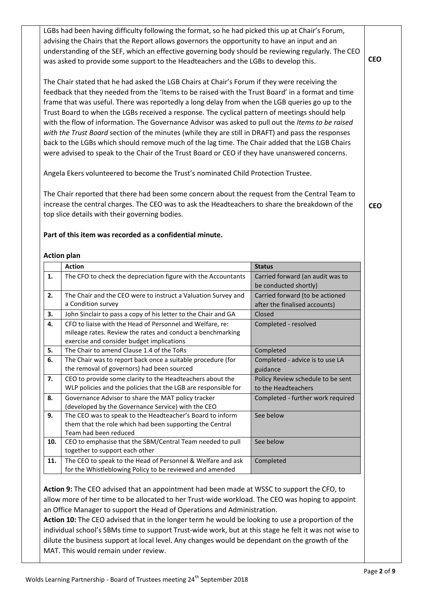LGBs had been having difficulty following the format, so he had picked this up at Chair's Forum, advising the Chairs that the Report allows governors the opportunity to have an input and an understanding of the SEF, which an effective governing body should be reviewing regularly. The CEO was asked to provide some support to the Headteachers and the LGBs to develop this.

The Chair stated that he had asked the LGB Chairs at Chair's Forum if they were receiving the feedback that they needed from the 'Items to be raised with the Trust Board' in a format and time frame that was useful. There was reportedly a long delay from when the LGB queries go up to the Trust Board to when the LGBs received a response. The cyclical pattern of meetings should help with the flow of information. The Governance Advisor was asked to pull out the *Items to be raised with the Trust Board* section of the minutes (while they are still in DRAFT) and pass the responses back to the LGBs which should remove much of the lag time. The Chair added that the LGB Chairs were advised to speak to the Chair of the Trust Board or CEO if they have unanswered concerns.

Angela Ekers volunteered to become the Trust's nominated Child Protection Trustee.

The Chair reported that there had been some concern about the request from the Central Team to increase the central charges. The CEO was to ask the Headteachers to share the breakdown of the top slice details with their governing bodies.

**CEO**

**CEO**

#### **Part of this item was recorded as a confidential minute.**

#### **Action plan**

|     | <b>Action</b>                                                  | <b>Status</b>                     |
|-----|----------------------------------------------------------------|-----------------------------------|
| 1.  | The CFO to check the depreciation figure with the Accountants  | Carried forward (an audit was to  |
|     |                                                                | be conducted shortly)             |
| 2.  | The Chair and the CEO were to instruct a Valuation Survey and  | Carried forward (to be actioned   |
|     | a Condition survey                                             | after the finalised accounts)     |
| 3.  | John Sinclair to pass a copy of his letter to the Chair and GA | Closed                            |
| 4.  | CFO to liaise with the Head of Personnel and Welfare, re:      | Completed - resolved              |
|     | mileage rates. Review the rates and conduct a benchmarking     |                                   |
|     | exercise and consider budget implications                      |                                   |
| 5.  | The Chair to amend Clause 1.4 of the ToRs                      | Completed                         |
| 6.  | The Chair was to report back once a suitable procedure (for    | Completed - advice is to use LA   |
|     | the removal of governors) had been sourced                     | guidance                          |
| 7.  | CEO to provide some clarity to the Headteachers about the      | Policy Review schedule to be sent |
|     | WLP policies and the policies that the LGB are responsible for | to the Headteachers               |
| 8.  | Governance Advisor to share the MAT policy tracker             | Completed - further work required |
|     | (developed by the Governance Service) with the CEO             |                                   |
| 9.  | The CEO was to speak to the Headteacher's Board to inform      | See below                         |
|     | them that the role which had been supporting the Central       |                                   |
|     | Team had been reduced                                          |                                   |
| 10. | CEO to emphasise that the SBM/Central Team needed to pull      | See below                         |
|     | together to support each other                                 |                                   |
| 11. | The CEO to speak to the Head of Personnel & Welfare and ask    | Completed                         |
|     | for the Whistleblowing Policy to be reviewed and amended       |                                   |

**Action 9:** The CEO advised that an appointment had been made at WSSC to support the CFO, to allow more of her time to be allocated to her Trust-wide workload. The CEO was hoping to appoint an Office Manager to support the Head of Operations and Administration.

**Action 10:** The CEO advised that in the longer term he would be looking to use a proportion of the individual school's SBMs time to support Trust-wide work, but at this stage he felt it was not wise to dilute the business support at local level. Any changes would be dependant on the growth of the MAT. This would remain under review.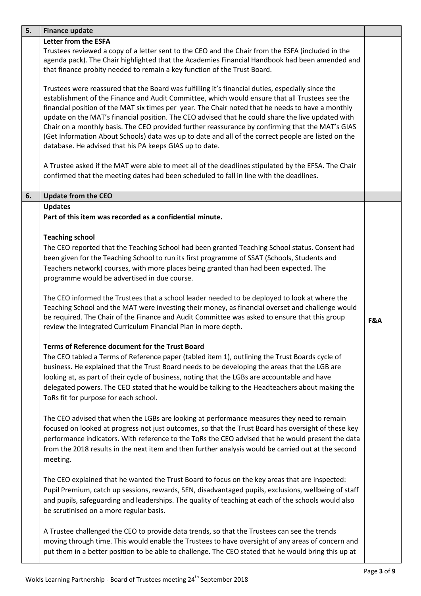| 5. | <b>Finance update</b>                                                                                                                                                                                                                                                                                                                                                                                                                                                                                                                                                                                                                                                               |     |
|----|-------------------------------------------------------------------------------------------------------------------------------------------------------------------------------------------------------------------------------------------------------------------------------------------------------------------------------------------------------------------------------------------------------------------------------------------------------------------------------------------------------------------------------------------------------------------------------------------------------------------------------------------------------------------------------------|-----|
|    | <b>Letter from the ESFA</b><br>Trustees reviewed a copy of a letter sent to the CEO and the Chair from the ESFA (included in the<br>agenda pack). The Chair highlighted that the Academies Financial Handbook had been amended and<br>that finance probity needed to remain a key function of the Trust Board.                                                                                                                                                                                                                                                                                                                                                                      |     |
|    | Trustees were reassured that the Board was fulfilling it's financial duties, especially since the<br>establishment of the Finance and Audit Committee, which would ensure that all Trustees see the<br>financial position of the MAT six times per year. The Chair noted that he needs to have a monthly<br>update on the MAT's financial position. The CEO advised that he could share the live updated with<br>Chair on a monthly basis. The CEO provided further reassurance by confirming that the MAT's GIAS<br>(Get Information About Schools) data was up to date and all of the correct people are listed on the<br>database. He advised that his PA keeps GIAS up to date. |     |
|    | A Trustee asked if the MAT were able to meet all of the deadlines stipulated by the EFSA. The Chair<br>confirmed that the meeting dates had been scheduled to fall in line with the deadlines.                                                                                                                                                                                                                                                                                                                                                                                                                                                                                      |     |
| 6. | <b>Update from the CEO</b>                                                                                                                                                                                                                                                                                                                                                                                                                                                                                                                                                                                                                                                          |     |
|    | <b>Updates</b><br>Part of this item was recorded as a confidential minute.                                                                                                                                                                                                                                                                                                                                                                                                                                                                                                                                                                                                          |     |
|    | <b>Teaching school</b><br>The CEO reported that the Teaching School had been granted Teaching School status. Consent had<br>been given for the Teaching School to run its first programme of SSAT (Schools, Students and<br>Teachers network) courses, with more places being granted than had been expected. The<br>programme would be advertised in due course.                                                                                                                                                                                                                                                                                                                   |     |
|    | The CEO informed the Trustees that a school leader needed to be deployed to look at where the<br>Teaching School and the MAT were investing their money, as financial overset and challenge would<br>be required. The Chair of the Finance and Audit Committee was asked to ensure that this group<br>review the Integrated Curriculum Financial Plan in more depth.                                                                                                                                                                                                                                                                                                                | F&A |
|    | Terms of Reference document for the Trust Board<br>The CEO tabled a Terms of Reference paper (tabled item 1), outlining the Trust Boards cycle of<br>business. He explained that the Trust Board needs to be developing the areas that the LGB are<br>looking at, as part of their cycle of business, noting that the LGBs are accountable and have<br>delegated powers. The CEO stated that he would be talking to the Headteachers about making the<br>ToRs fit for purpose for each school.                                                                                                                                                                                      |     |
|    | The CEO advised that when the LGBs are looking at performance measures they need to remain<br>focused on looked at progress not just outcomes, so that the Trust Board has oversight of these key<br>performance indicators. With reference to the ToRs the CEO advised that he would present the data<br>from the 2018 results in the next item and then further analysis would be carried out at the second<br>meeting.                                                                                                                                                                                                                                                           |     |
|    | The CEO explained that he wanted the Trust Board to focus on the key areas that are inspected:<br>Pupil Premium, catch up sessions, rewards, SEN, disadvantaged pupils, exclusions, wellbeing of staff<br>and pupils, safeguarding and leaderships. The quality of teaching at each of the schools would also<br>be scrutinised on a more regular basis.                                                                                                                                                                                                                                                                                                                            |     |
|    | A Trustee challenged the CEO to provide data trends, so that the Trustees can see the trends<br>moving through time. This would enable the Trustees to have oversight of any areas of concern and<br>put them in a better position to be able to challenge. The CEO stated that he would bring this up at                                                                                                                                                                                                                                                                                                                                                                           |     |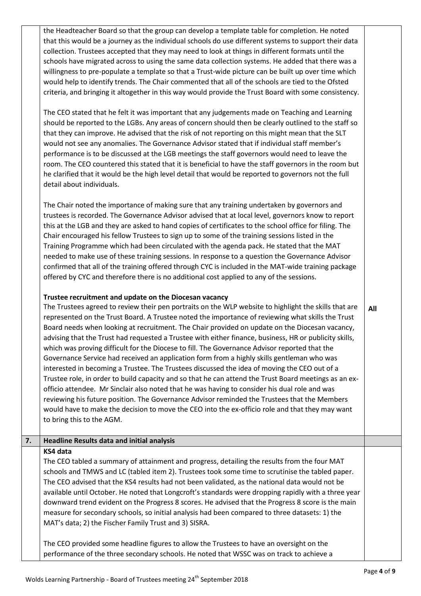the Headteacher Board so that the group can develop a template table for completion. He noted that this would be a journey as the individual schools do use different systems to support their data collection. Trustees accepted that they may need to look at things in different formats until the schools have migrated across to using the same data collection systems. He added that there was a willingness to pre-populate a template so that a Trust-wide picture can be built up over time which would help to identify trends. The Chair commented that all of the schools are tied to the Ofsted criteria, and bringing it altogether in this way would provide the Trust Board with some consistency.

The CEO stated that he felt it was important that any judgements made on Teaching and Learning should be reported to the LGBs. Any areas of concern should then be clearly outlined to the staff so that they can improve. He advised that the risk of not reporting on this might mean that the SLT would not see any anomalies. The Governance Advisor stated that if individual staff member's performance is to be discussed at the LGB meetings the staff governors would need to leave the room. The CEO countered this stated that it is beneficial to have the staff governors in the room but he clarified that it would be the high level detail that would be reported to governors not the full detail about individuals.

The Chair noted the importance of making sure that any training undertaken by governors and trustees is recorded. The Governance Advisor advised that at local level, governors know to report this at the LGB and they are asked to hand copies of certificates to the school office for filing. The Chair encouraged his fellow Trustees to sign up to some of the training sessions listed in the Training Programme which had been circulated with the agenda pack. He stated that the MAT needed to make use of these training sessions. In response to a question the Governance Advisor confirmed that all of the training offered through CYC is included in the MAT-wide training package offered by CYC and therefore there is no additional cost applied to any of the sessions.

#### **Trustee recruitment and update on the Diocesan vacancy**

The Trustees agreed to review their pen portraits on the WLP website to highlight the skills that are represented on the Trust Board. A Trustee noted the importance of reviewing what skills the Trust Board needs when looking at recruitment. The Chair provided on update on the Diocesan vacancy, advising that the Trust had requested a Trustee with either finance, business, HR or publicity skills, which was proving difficult for the Diocese to fill. The Governance Advisor reported that the Governance Service had received an application form from a highly skills gentleman who was interested in becoming a Trustee. The Trustees discussed the idea of moving the CEO out of a Trustee role, in order to build capacity and so that he can attend the Trust Board meetings as an exofficio attendee. Mr Sinclair also noted that he was having to consider his dual role and was reviewing his future position. The Governance Advisor reminded the Trustees that the Members would have to make the decision to move the CEO into the ex-officio role and that they may want to bring this to the AGM.

#### **7. Headline Results data and initial analysis 4.**

#### **KS4 data**

The CEO tabled a summary of attainment and progress, detailing the results from the four MAT schools and TMWS and LC (tabled item 2). Trustees took some time to scrutinise the tabled paper. The CEO advised that the KS4 results had not been validated, as the national data would not be available until October. He noted that Longcroft's standards were dropping rapidly with a three year downward trend evident on the Progress 8 scores. He advised that the Progress 8 score is the main measure for secondary schools, so initial analysis had been compared to three datasets: 1) the MAT's data; 2) the Fischer Family Trust and 3) SISRA.

The CEO provided some headline figures to allow the Trustees to have an oversight on the performance of the three secondary schools. He noted that WSSC was on track to achieve a **All**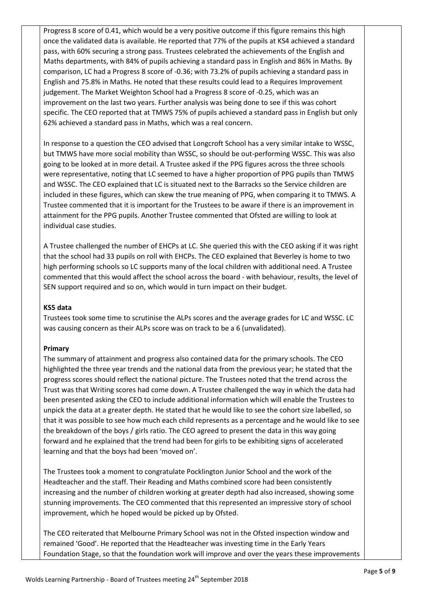Progress 8 score of 0.41, which would be a very positive outcome if this figure remains this high once the validated data is available. He reported that 77% of the pupils at KS4 achieved a standard pass, with 60% securing a strong pass. Trustees celebrated the achievements of the English and Maths departments, with 84% of pupils achieving a standard pass in English and 86% in Maths. By comparison, LC had a Progress 8 score of -0.36; with 73.2% of pupils achieving a standard pass in English and 75.8% in Maths. He noted that these results could lead to a Requires Improvement judgement. The Market Weighton School had a Progress 8 score of -0.25, which was an improvement on the last two years. Further analysis was being done to see if this was cohort specific. The CEO reported that at TMWS 75% of pupils achieved a standard pass in English but only 62% achieved a standard pass in Maths, which was a real concern.

In response to a question the CEO advised that Longcroft School has a very similar intake to WSSC, but TMWS have more social mobility than WSSC, so should be out-performing WSSC. This was also going to be looked at in more detail. A Trustee asked if the PPG figures across the three schools were representative, noting that LC seemed to have a higher proportion of PPG pupils than TMWS and WSSC. The CEO explained that LC is situated next to the Barracks so the Service children are included in these figures, which can skew the true meaning of PPG, when comparing it to TMWS. A Trustee commented that it is important for the Trustees to be aware if there is an improvement in attainment for the PPG pupils. Another Trustee commented that Ofsted are willing to look at individual case studies.

A Trustee challenged the number of EHCPs at LC. She queried this with the CEO asking if it was right that the school had 33 pupils on roll with EHCPs. The CEO explained that Beverley is home to two high performing schools so LC supports many of the local children with additional need. A Trustee commented that this would affect the school across the board - with behaviour, results, the level of SEN support required and so on, which would in turn impact on their budget.

#### **KS5 data**

Trustees took some time to scrutinise the ALPs scores and the average grades for LC and WSSC. LC was causing concern as their ALPs score was on track to be a 6 (unvalidated).

#### **Primary**

The summary of attainment and progress also contained data for the primary schools. The CEO highlighted the three year trends and the national data from the previous year; he stated that the progress scores should reflect the national picture. The Trustees noted that the trend across the Trust was that Writing scores had come down. A Trustee challenged the way in which the data had been presented asking the CEO to include additional information which will enable the Trustees to unpick the data at a greater depth. He stated that he would like to see the cohort size labelled, so that it was possible to see how much each child represents as a percentage and he would like to see the breakdown of the boys / girls ratio. The CEO agreed to present the data in this way going forward and he explained that the trend had been for girls to be exhibiting signs of accelerated learning and that the boys had been 'moved on'.

The Trustees took a moment to congratulate Pocklington Junior School and the work of the Headteacher and the staff. Their Reading and Maths combined score had been consistently increasing and the number of children working at greater depth had also increased, showing some stunning improvements. The CEO commented that this represented an impressive story of school improvement, which he hoped would be picked up by Ofsted.

The CEO reiterated that Melbourne Primary School was not in the Ofsted inspection window and remained 'Good'. He reported that the Headteacher was investing time in the Early Years Foundation Stage, so that the foundation work will improve and over the years these improvements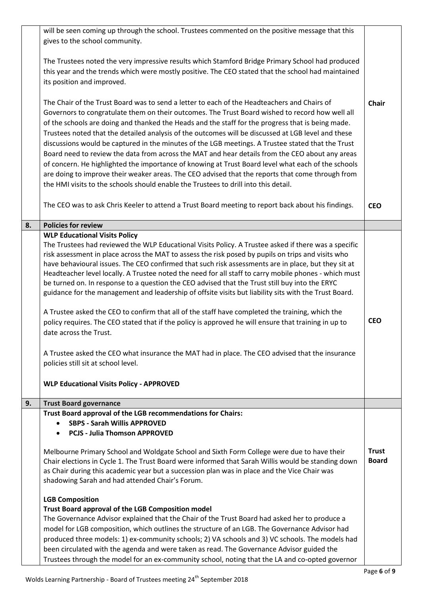|    | will be seen coming up through the school. Trustees commented on the positive message that this<br>gives to the school community.                                                                                                                                                                                                                                                                                                                                                                                                                                                                                                                                                                                                                                                                                                                                                                                                                                                                                                                                                                                                                |                              |
|----|--------------------------------------------------------------------------------------------------------------------------------------------------------------------------------------------------------------------------------------------------------------------------------------------------------------------------------------------------------------------------------------------------------------------------------------------------------------------------------------------------------------------------------------------------------------------------------------------------------------------------------------------------------------------------------------------------------------------------------------------------------------------------------------------------------------------------------------------------------------------------------------------------------------------------------------------------------------------------------------------------------------------------------------------------------------------------------------------------------------------------------------------------|------------------------------|
|    | The Trustees noted the very impressive results which Stamford Bridge Primary School had produced<br>this year and the trends which were mostly positive. The CEO stated that the school had maintained<br>its position and improved.                                                                                                                                                                                                                                                                                                                                                                                                                                                                                                                                                                                                                                                                                                                                                                                                                                                                                                             |                              |
|    | The Chair of the Trust Board was to send a letter to each of the Headteachers and Chairs of<br>Governors to congratulate them on their outcomes. The Trust Board wished to record how well all<br>of the schools are doing and thanked the Heads and the staff for the progress that is being made.<br>Trustees noted that the detailed analysis of the outcomes will be discussed at LGB level and these<br>discussions would be captured in the minutes of the LGB meetings. A Trustee stated that the Trust<br>Board need to review the data from across the MAT and hear details from the CEO about any areas<br>of concern. He highlighted the importance of knowing at Trust Board level what each of the schools<br>are doing to improve their weaker areas. The CEO advised that the reports that come through from<br>the HMI visits to the schools should enable the Trustees to drill into this detail.                                                                                                                                                                                                                               | <b>Chair</b>                 |
|    | The CEO was to ask Chris Keeler to attend a Trust Board meeting to report back about his findings.                                                                                                                                                                                                                                                                                                                                                                                                                                                                                                                                                                                                                                                                                                                                                                                                                                                                                                                                                                                                                                               | <b>CEO</b>                   |
| 8. | <b>Policies for review</b>                                                                                                                                                                                                                                                                                                                                                                                                                                                                                                                                                                                                                                                                                                                                                                                                                                                                                                                                                                                                                                                                                                                       |                              |
| 9. | <b>WLP Educational Visits Policy</b><br>The Trustees had reviewed the WLP Educational Visits Policy. A Trustee asked if there was a specific<br>risk assessment in place across the MAT to assess the risk posed by pupils on trips and visits who<br>have behavioural issues. The CEO confirmed that such risk assessments are in place, but they sit at<br>Headteacher level locally. A Trustee noted the need for all staff to carry mobile phones - which must<br>be turned on. In response to a question the CEO advised that the Trust still buy into the ERYC<br>guidance for the management and leadership of offsite visits but liability sits with the Trust Board.<br>A Trustee asked the CEO to confirm that all of the staff have completed the training, which the<br>policy requires. The CEO stated that if the policy is approved he will ensure that training in up to<br>date across the Trust.<br>A Trustee asked the CEO what insurance the MAT had in place. The CEO advised that the insurance<br>policies still sit at school level.<br><b>WLP Educational Visits Policy - APPROVED</b><br><b>Trust Board governance</b> | <b>CEO</b>                   |
|    | Trust Board approval of the LGB recommendations for Chairs:                                                                                                                                                                                                                                                                                                                                                                                                                                                                                                                                                                                                                                                                                                                                                                                                                                                                                                                                                                                                                                                                                      |                              |
|    | <b>SBPS - Sarah Willis APPROVED</b><br><b>PCJS - Julia Thomson APPROVED</b><br>Melbourne Primary School and Woldgate School and Sixth Form College were due to have their<br>Chair elections in Cycle 1. The Trust Board were informed that Sarah Willis would be standing down<br>as Chair during this academic year but a succession plan was in place and the Vice Chair was<br>shadowing Sarah and had attended Chair's Forum.                                                                                                                                                                                                                                                                                                                                                                                                                                                                                                                                                                                                                                                                                                               | <b>Trust</b><br><b>Board</b> |
|    | <b>LGB Composition</b><br>Trust Board approval of the LGB Composition model<br>The Governance Advisor explained that the Chair of the Trust Board had asked her to produce a<br>model for LGB composition, which outlines the structure of an LGB. The Governance Advisor had<br>produced three models: 1) ex-community schools; 2) VA schools and 3) VC schools. The models had<br>been circulated with the agenda and were taken as read. The Governance Advisor guided the<br>Trustees through the model for an ex-community school, noting that the LA and co-opted governor                                                                                                                                                                                                                                                                                                                                                                                                                                                                                                                                                                 |                              |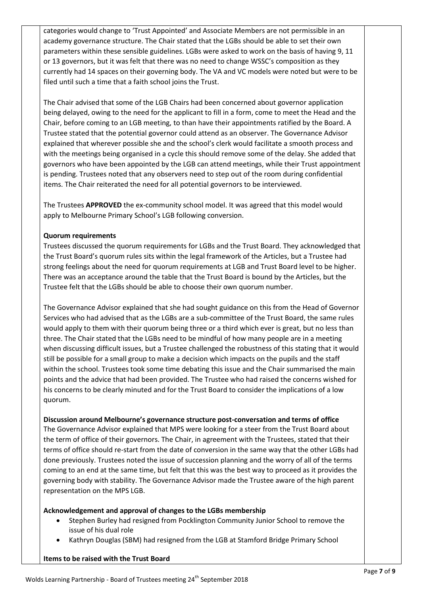categories would change to 'Trust Appointed' and Associate Members are not permissible in an academy governance structure. The Chair stated that the LGBs should be able to set their own parameters within these sensible guidelines. LGBs were asked to work on the basis of having 9, 11 or 13 governors, but it was felt that there was no need to change WSSC's composition as they currently had 14 spaces on their governing body. The VA and VC models were noted but were to be filed until such a time that a faith school joins the Trust.

The Chair advised that some of the LGB Chairs had been concerned about governor application being delayed, owing to the need for the applicant to fill in a form, come to meet the Head and the Chair, before coming to an LGB meeting, to than have their appointments ratified by the Board. A Trustee stated that the potential governor could attend as an observer. The Governance Advisor explained that wherever possible she and the school's clerk would facilitate a smooth process and with the meetings being organised in a cycle this should remove some of the delay. She added that governors who have been appointed by the LGB can attend meetings, while their Trust appointment is pending. Trustees noted that any observers need to step out of the room during confidential items. The Chair reiterated the need for all potential governors to be interviewed.

The Trustees **APPROVED** the ex-community school model. It was agreed that this model would apply to Melbourne Primary School's LGB following conversion.

#### **Quorum requirements**

Trustees discussed the quorum requirements for LGBs and the Trust Board. They acknowledged that the Trust Board's quorum rules sits within the legal framework of the Articles, but a Trustee had strong feelings about the need for quorum requirements at LGB and Trust Board level to be higher. There was an acceptance around the table that the Trust Board is bound by the Articles, but the Trustee felt that the LGBs should be able to choose their own quorum number.

The Governance Advisor explained that she had sought guidance on this from the Head of Governor Services who had advised that as the LGBs are a sub-committee of the Trust Board, the same rules would apply to them with their quorum being three or a third which ever is great, but no less than three. The Chair stated that the LGBs need to be mindful of how many people are in a meeting when discussing difficult issues, but a Trustee challenged the robustness of this stating that it would still be possible for a small group to make a decision which impacts on the pupils and the staff within the school. Trustees took some time debating this issue and the Chair summarised the main points and the advice that had been provided. The Trustee who had raised the concerns wished for his concerns to be clearly minuted and for the Trust Board to consider the implications of a low quorum.

#### **Discussion around Melbourne's governance structure post-conversation and terms of office**

The Governance Advisor explained that MPS were looking for a steer from the Trust Board about the term of office of their governors. The Chair, in agreement with the Trustees, stated that their terms of office should re-start from the date of conversion in the same way that the other LGBs had done previously. Trustees noted the issue of succession planning and the worry of all of the terms coming to an end at the same time, but felt that this was the best way to proceed as it provides the governing body with stability. The Governance Advisor made the Trustee aware of the high parent representation on the MPS LGB.

#### **Acknowledgement and approval of changes to the LGBs membership**

- Stephen Burley had resigned from Pocklington Community Junior School to remove the issue of his dual role
- Kathryn Douglas (SBM) had resigned from the LGB at Stamford Bridge Primary School

**Items to be raised with the Trust Board**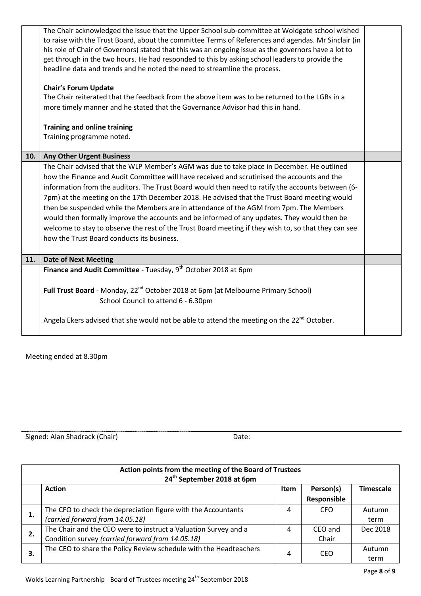|     | The Chair acknowledged the issue that the Upper School sub-committee at Woldgate school wished<br>to raise with the Trust Board, about the committee Terms of References and agendas. Mr Sinclair (in<br>his role of Chair of Governors) stated that this was an ongoing issue as the governors have a lot to<br>get through in the two hours. He had responded to this by asking school leaders to provide the<br>headline data and trends and he noted the need to streamline the process.                                                                                                                                                                                                                                                  |  |
|-----|-----------------------------------------------------------------------------------------------------------------------------------------------------------------------------------------------------------------------------------------------------------------------------------------------------------------------------------------------------------------------------------------------------------------------------------------------------------------------------------------------------------------------------------------------------------------------------------------------------------------------------------------------------------------------------------------------------------------------------------------------|--|
|     | <b>Chair's Forum Update</b>                                                                                                                                                                                                                                                                                                                                                                                                                                                                                                                                                                                                                                                                                                                   |  |
|     | The Chair reiterated that the feedback from the above item was to be returned to the LGBs in a<br>more timely manner and he stated that the Governance Advisor had this in hand.                                                                                                                                                                                                                                                                                                                                                                                                                                                                                                                                                              |  |
|     | <b>Training and online training</b>                                                                                                                                                                                                                                                                                                                                                                                                                                                                                                                                                                                                                                                                                                           |  |
|     | Training programme noted.                                                                                                                                                                                                                                                                                                                                                                                                                                                                                                                                                                                                                                                                                                                     |  |
| 10. | <b>Any Other Urgent Business</b>                                                                                                                                                                                                                                                                                                                                                                                                                                                                                                                                                                                                                                                                                                              |  |
|     | The Chair advised that the WLP Member's AGM was due to take place in December. He outlined<br>how the Finance and Audit Committee will have received and scrutinised the accounts and the<br>information from the auditors. The Trust Board would then need to ratify the accounts between (6-<br>7pm) at the meeting on the 17th December 2018. He advised that the Trust Board meeting would<br>then be suspended while the Members are in attendance of the AGM from 7pm. The Members<br>would then formally improve the accounts and be informed of any updates. They would then be<br>welcome to stay to observe the rest of the Trust Board meeting if they wish to, so that they can see<br>how the Trust Board conducts its business. |  |
| 11. | <b>Date of Next Meeting</b>                                                                                                                                                                                                                                                                                                                                                                                                                                                                                                                                                                                                                                                                                                                   |  |
|     | Finance and Audit Committee - Tuesday, 9 <sup>th</sup> October 2018 at 6pm                                                                                                                                                                                                                                                                                                                                                                                                                                                                                                                                                                                                                                                                    |  |
|     | Full Trust Board - Monday, 22 <sup>nd</sup> October 2018 at 6pm (at Melbourne Primary School)<br>School Council to attend 6 - 6.30pm                                                                                                                                                                                                                                                                                                                                                                                                                                                                                                                                                                                                          |  |
|     | Angela Ekers advised that she would not be able to attend the meeting on the 22 <sup>nd</sup> October.                                                                                                                                                                                                                                                                                                                                                                                                                                                                                                                                                                                                                                        |  |
|     |                                                                                                                                                                                                                                                                                                                                                                                                                                                                                                                                                                                                                                                                                                                                               |  |

Meeting ended at 8.30pm

Signed: Alan Shadrack (Chair) Date:

| Action points from the meeting of the Board of Trustees<br>24 <sup>th</sup> September 2018 at 6pm |                                                                                                                     |      |                          |                  |
|---------------------------------------------------------------------------------------------------|---------------------------------------------------------------------------------------------------------------------|------|--------------------------|------------------|
|                                                                                                   | <b>Action</b>                                                                                                       | Item | Person(s)<br>Responsible | <b>Timescale</b> |
| 1.                                                                                                | The CFO to check the depreciation figure with the Accountants<br>(carried forward from 14.05.18)                    | 4    | <b>CFO</b>               | Autumn<br>term   |
| 2.                                                                                                | The Chair and the CEO were to instruct a Valuation Survey and a<br>Condition survey (carried forward from 14.05.18) | 4    | CEO and<br>Chair         | Dec 2018         |
| З.                                                                                                | The CEO to share the Policy Review schedule with the Headteachers                                                   | 4    | CEO                      | Autumn<br>term   |